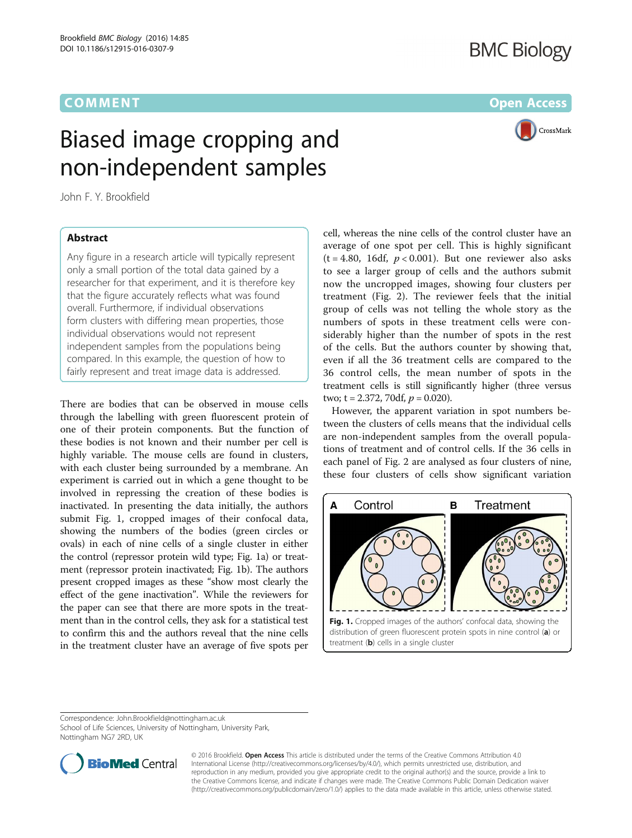<span id="page-0-0"></span>

## Biased image cropping and non-independent samples

John F. Y. Brookfield

## **Abstract**

Any figure in a research article will typically represent only a small portion of the total data gained by a researcher for that experiment, and it is therefore key that the figure accurately reflects what was found overall. Furthermore, if individual observations form clusters with differing mean properties, those individual observations would not represent independent samples from the populations being compared. In this example, the question of how to fairly represent and treat image data is addressed.

There are bodies that can be observed in mouse cells through the labelling with green fluorescent protein of one of their protein components. But the function of these bodies is not known and their number per cell is highly variable. The mouse cells are found in clusters, with each cluster being surrounded by a membrane. An experiment is carried out in which a gene thought to be involved in repressing the creation of these bodies is inactivated. In presenting the data initially, the authors submit Fig. 1, cropped images of their confocal data, showing the numbers of the bodies (green circles or ovals) in each of nine cells of a single cluster in either the control (repressor protein wild type; Fig. 1a) or treatment (repressor protein inactivated; Fig. 1b). The authors present cropped images as these "show most clearly the effect of the gene inactivation". While the reviewers for the paper can see that there are more spots in the treatment than in the control cells, they ask for a statistical test to confirm this and the authors reveal that the nine cells in the treatment cluster have an average of five spots per

cell, whereas the nine cells of the control cluster have an average of one spot per cell. This is highly significant (t = 4.80, 16df,  $p < 0.001$ ). But one reviewer also asks to see a larger group of cells and the authors submit now the uncropped images, showing four clusters per treatment (Fig. [2\)](#page-1-0). The reviewer feels that the initial group of cells was not telling the whole story as the numbers of spots in these treatment cells were considerably higher than the number of spots in the rest of the cells. But the authors counter by showing that, even if all the 36 treatment cells are compared to the 36 control cells, the mean number of spots in the treatment cells is still significantly higher (three versus two;  $t = 2.372$ , 70df,  $p = 0.020$ ).

However, the apparent variation in spot numbers between the clusters of cells means that the individual cells are non-independent samples from the overall populations of treatment and of control cells. If the 36 cells in each panel of Fig. [2](#page-1-0) are analysed as four clusters of nine, these four clusters of cells show significant variation



treatment  $(b)$  cells in a single cluster

Correspondence: [John.Brookfield@nottingham.ac.uk](mailto:John.Brookfield@nottingham.ac.uk)

School of Life Sciences, University of Nottingham, University Park, Nottingham NG7 2RD, UK



© 2016 Brookfield. Open Access This article is distributed under the terms of the Creative Commons Attribution 4.0 International License [\(http://creativecommons.org/licenses/by/4.0/](http://creativecommons.org/licenses/by/4.0/)), which permits unrestricted use, distribution, and reproduction in any medium, provided you give appropriate credit to the original author(s) and the source, provide a link to the Creative Commons license, and indicate if changes were made. The Creative Commons Public Domain Dedication waiver [\(http://creativecommons.org/publicdomain/zero/1.0/](http://creativecommons.org/publicdomain/zero/1.0/)) applies to the data made available in this article, unless otherwise stated.